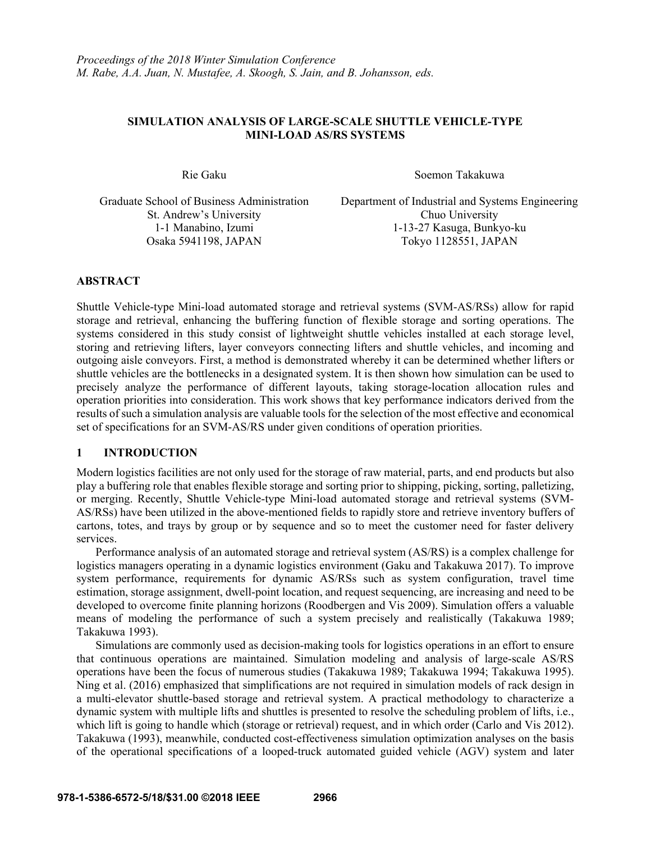## **SIMULATION ANALYSIS OF LARGE-SCALE SHUTTLE VEHICLE-TYPE MINI-LOAD AS/RS SYSTEMS**

Rie Gaku Soemon Takakuwa

St. Andrew's University Chuo University

Graduate School of Business Administration Department of Industrial and Systems Engineering 1-1 Manabino, Izumi 1-13-27 Kasuga, Bunkyo-ku Osaka 5941198, JAPAN Tokyo 1128551, JAPAN

## **ABSTRACT**

Shuttle Vehicle-type Mini-load automated storage and retrieval systems (SVM-AS/RSs) allow for rapid storage and retrieval, enhancing the buffering function of flexible storage and sorting operations. The systems considered in this study consist of lightweight shuttle vehicles installed at each storage level, storing and retrieving lifters, layer conveyors connecting lifters and shuttle vehicles, and incoming and outgoing aisle conveyors. First, a method is demonstrated whereby it can be determined whether lifters or shuttle vehicles are the bottlenecks in a designated system. It is then shown how simulation can be used to precisely analyze the performance of different layouts, taking storage-location allocation rules and operation priorities into consideration. This work shows that key performance indicators derived from the results of such a simulation analysis are valuable tools for the selection of the most effective and economical set of specifications for an SVM-AS/RS under given conditions of operation priorities.

### **1 INTRODUCTION**

Modern logistics facilities are not only used for the storage of raw material, parts, and end products but also play a buffering role that enables flexible storage and sorting prior to shipping, picking, sorting, palletizing, or merging. Recently, Shuttle Vehicle-type Mini-load automated storage and retrieval systems (SVM-AS/RSs) have been utilized in the above-mentioned fields to rapidly store and retrieve inventory buffers of cartons, totes, and trays by group or by sequence and so to meet the customer need for faster delivery services.

Performance analysis of an automated storage and retrieval system (AS/RS) is a complex challenge for logistics managers operating in a dynamic logistics environment (Gaku and Takakuwa 2017). To improve system performance, requirements for dynamic AS/RSs such as system configuration, travel time estimation, storage assignment, dwell-point location, and request sequencing, are increasing and need to be developed to overcome finite planning horizons (Roodbergen and Vis 2009). Simulation offers a valuable means of modeling the performance of such a system precisely and realistically (Takakuwa 1989; Takakuwa 1993).

Simulations are commonly used as decision-making tools for logistics operations in an effort to ensure that continuous operations are maintained. Simulation modeling and analysis of large-scale AS/RS operations have been the focus of numerous studies (Takakuwa 1989; Takakuwa 1994; Takakuwa 1995). Ning et al. (2016) emphasized that simplifications are not required in simulation models of rack design in a multi-elevator shuttle-based storage and retrieval system. A practical methodology to characterize a dynamic system with multiple lifts and shuttles is presented to resolve the scheduling problem of lifts, i.e., which lift is going to handle which (storage or retrieval) request, and in which order (Carlo and Vis 2012). Takakuwa (1993), meanwhile, conducted cost-effectiveness simulation optimization analyses on the basis of the operational specifications of a looped-truck automated guided vehicle (AGV) system and later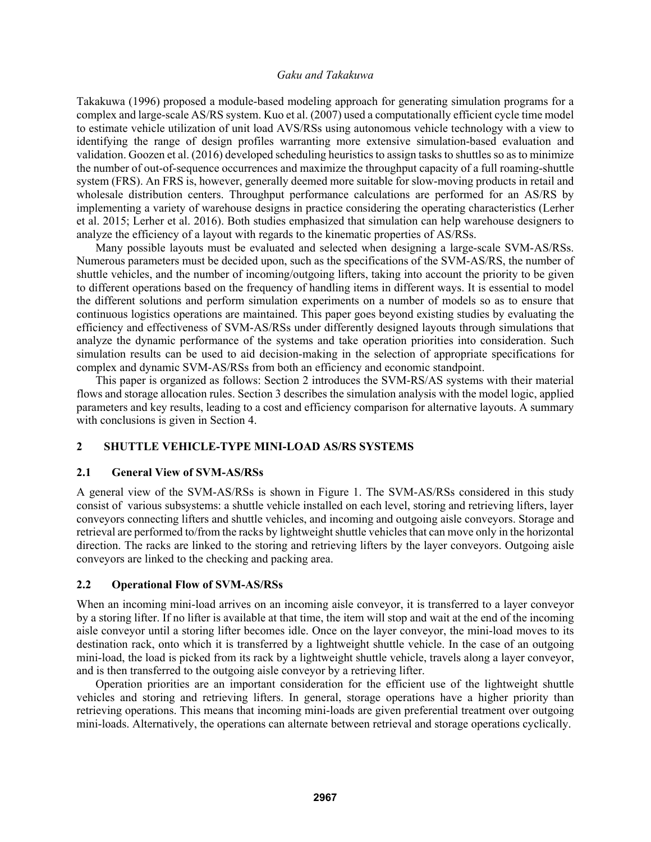Takakuwa (1996) proposed a module-based modeling approach for generating simulation programs for a complex and large-scale AS/RS system. Kuo et al. (2007) used a computationally efficient cycle time model to estimate vehicle utilization of unit load AVS/RSs using autonomous vehicle technology with a view to identifying the range of design profiles warranting more extensive simulation-based evaluation and validation. Goozen et al. (2016) developed scheduling heuristics to assign tasks to shuttles so as to minimize the number of out-of-sequence occurrences and maximize the throughput capacity of a full roaming-shuttle system (FRS). An FRS is, however, generally deemed more suitable for slow-moving products in retail and wholesale distribution centers. Throughput performance calculations are performed for an AS/RS by implementing a variety of warehouse designs in practice considering the operating characteristics (Lerher et al. 2015; Lerher et al. 2016). Both studies emphasized that simulation can help warehouse designers to analyze the efficiency of a layout with regards to the kinematic properties of AS/RSs.

Many possible layouts must be evaluated and selected when designing a large-scale SVM-AS/RSs. Numerous parameters must be decided upon, such as the specifications of the SVM-AS/RS, the number of shuttle vehicles, and the number of incoming/outgoing lifters, taking into account the priority to be given to different operations based on the frequency of handling items in different ways. It is essential to model the different solutions and perform simulation experiments on a number of models so as to ensure that continuous logistics operations are maintained. This paper goes beyond existing studies by evaluating the efficiency and effectiveness of SVM-AS/RSs under differently designed layouts through simulations that analyze the dynamic performance of the systems and take operation priorities into consideration. Such simulation results can be used to aid decision-making in the selection of appropriate specifications for complex and dynamic SVM-AS/RSs from both an efficiency and economic standpoint.

This paper is organized as follows: Section 2 introduces the SVM-RS/AS systems with their material flows and storage allocation rules. Section 3 describes the simulation analysis with the model logic, applied parameters and key results, leading to a cost and efficiency comparison for alternative layouts. A summary with conclusions is given in Section 4.

### **2 SHUTTLE VEHICLE-TYPE MINI-LOAD AS/RS SYSTEMS**

### **2.1 General View of SVM-AS/RSs**

A general view of the SVM-AS/RSs is shown in Figure 1. The SVM-AS/RSs considered in this study consist of various subsystems: a shuttle vehicle installed on each level, storing and retrieving lifters, layer conveyors connecting lifters and shuttle vehicles, and incoming and outgoing aisle conveyors. Storage and retrieval are performed to/from the racks by lightweight shuttle vehicles that can move only in the horizontal direction. The racks are linked to the storing and retrieving lifters by the layer conveyors. Outgoing aisle conveyors are linked to the checking and packing area.

### **2.2 Operational Flow of SVM-AS/RSs**

When an incoming mini-load arrives on an incoming aisle conveyor, it is transferred to a layer conveyor by a storing lifter. If no lifter is available at that time, the item will stop and wait at the end of the incoming aisle conveyor until a storing lifter becomes idle. Once on the layer conveyor, the mini-load moves to its destination rack, onto which it is transferred by a lightweight shuttle vehicle. In the case of an outgoing mini-load, the load is picked from its rack by a lightweight shuttle vehicle, travels along a layer conveyor, and is then transferred to the outgoing aisle conveyor by a retrieving lifter.

Operation priorities are an important consideration for the efficient use of the lightweight shuttle vehicles and storing and retrieving lifters. In general, storage operations have a higher priority than retrieving operations. This means that incoming mini-loads are given preferential treatment over outgoing mini-loads. Alternatively, the operations can alternate between retrieval and storage operations cyclically.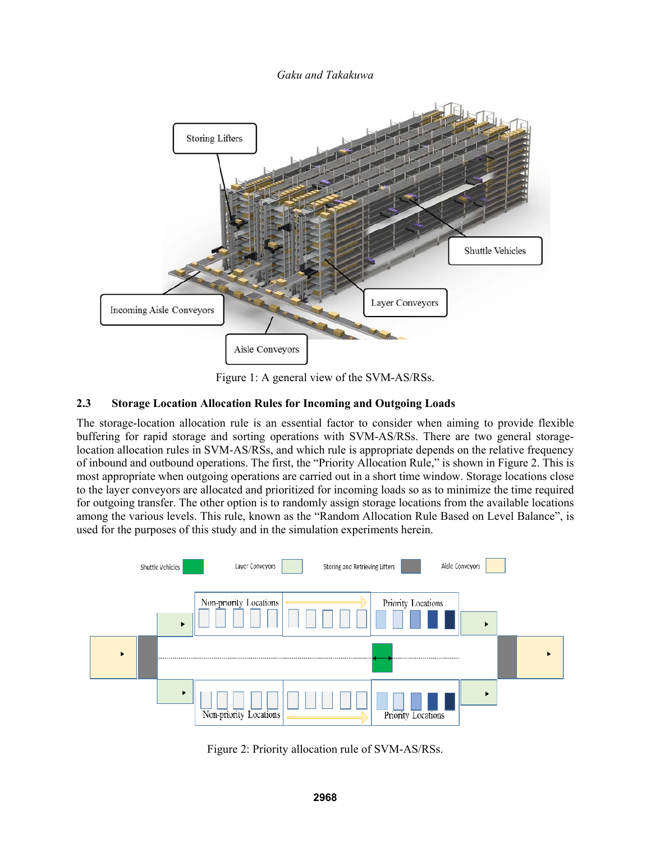

Figure 1: A general view of the SVM-AS/RSs.

# **2.3 Storage Location Allocation Rules for Incoming and Outgoing Loads**

The storage-location allocation rule is an essential factor to consider when aiming to provide flexible buffering for rapid storage and sorting operations with SVM-AS/RSs. There are two general storagelocation allocation rules in SVM-AS/RSs, and which rule is appropriate depends on the relative frequency of inbound and outbound operations. The first, the "Priority Allocation Rule," is shown in Figure 2. This is most appropriate when outgoing operations are carried out in a short time window. Storage locations close to the layer conveyors are allocated and prioritized for incoming loads so as to minimize the time required for outgoing transfer. The other option is to randomly assign storage locations from the available locations among the various levels. This rule, known as the "Random Allocation Rule Based on Level Balance", is used for the purposes of this study and in the simulation experiments herein.



Figure 2: Priority allocation rule of SVM-AS/RSs.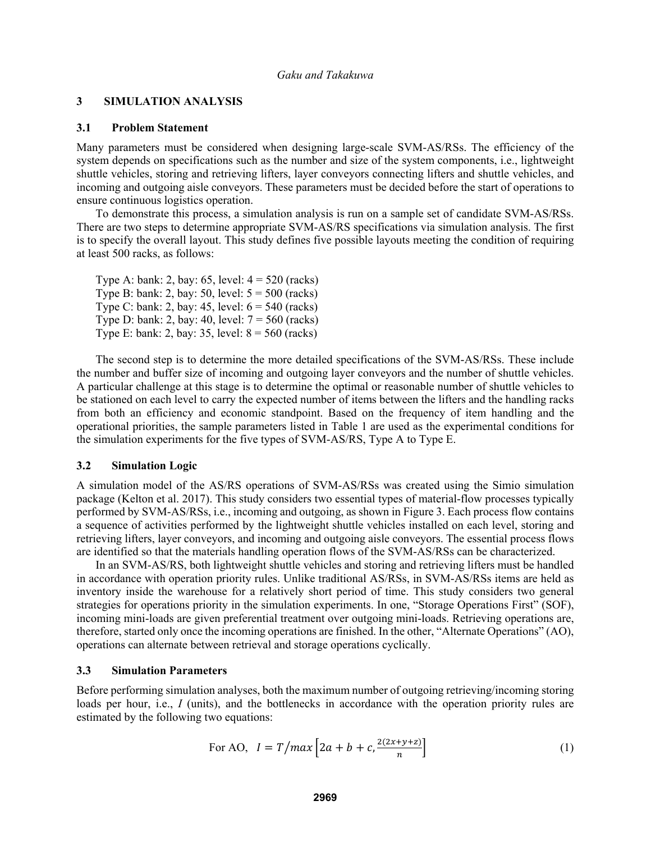### **3 SIMULATION ANALYSIS**

#### **3.1 Problem Statement**

Many parameters must be considered when designing large-scale SVM-AS/RSs. The efficiency of the system depends on specifications such as the number and size of the system components, i.e., lightweight shuttle vehicles, storing and retrieving lifters, layer conveyors connecting lifters and shuttle vehicles, and incoming and outgoing aisle conveyors. These parameters must be decided before the start of operations to ensure continuous logistics operation.

To demonstrate this process, a simulation analysis is run on a sample set of candidate SVM-AS/RSs. There are two steps to determine appropriate SVM-AS/RS specifications via simulation analysis. The first is to specify the overall layout. This study defines five possible layouts meeting the condition of requiring at least 500 racks, as follows:

| Type A: bank: 2, bay: 65, level: $4 = 520$ (racks)    |
|-------------------------------------------------------|
| Type B: bank: 2, bay: 50, level: $5 = 500$ (racks)    |
| Type C: bank: 2, bay: $45$ , level: $6 = 540$ (racks) |
| Type D: bank: 2, bay: 40, level: $7 = 560$ (racks)    |
| Type E: bank: 2, bay: 35, level: $8 = 560$ (racks)    |

The second step is to determine the more detailed specifications of the SVM-AS/RSs. These include the number and buffer size of incoming and outgoing layer conveyors and the number of shuttle vehicles. A particular challenge at this stage is to determine the optimal or reasonable number of shuttle vehicles to be stationed on each level to carry the expected number of items between the lifters and the handling racks from both an efficiency and economic standpoint. Based on the frequency of item handling and the operational priorities, the sample parameters listed in Table 1 are used as the experimental conditions for the simulation experiments for the five types of SVM-AS/RS, Type A to Type E.

#### **3.2 Simulation Logic**

A simulation model of the AS/RS operations of SVM-AS/RSs was created using the Simio simulation package (Kelton et al. 2017). This study considers two essential types of material-flow processes typically performed by SVM-AS/RSs, i.e., incoming and outgoing, as shown in Figure 3. Each process flow contains a sequence of activities performed by the lightweight shuttle vehicles installed on each level, storing and retrieving lifters, layer conveyors, and incoming and outgoing aisle conveyors. The essential process flows are identified so that the materials handling operation flows of the SVM-AS/RSs can be characterized.

In an SVM-AS/RS, both lightweight shuttle vehicles and storing and retrieving lifters must be handled in accordance with operation priority rules. Unlike traditional AS/RSs, in SVM-AS/RSs items are held as inventory inside the warehouse for a relatively short period of time. This study considers two general strategies for operations priority in the simulation experiments. In one, "Storage Operations First" (SOF), incoming mini-loads are given preferential treatment over outgoing mini-loads. Retrieving operations are, therefore, started only once the incoming operations are finished. In the other, "Alternate Operations" (AO), operations can alternate between retrieval and storage operations cyclically.

#### **3.3 Simulation Parameters**

Before performing simulation analyses, both the maximum number of outgoing retrieving/incoming storing loads per hour, i.e., *I* (units), and the bottlenecks in accordance with the operation priority rules are estimated by the following two equations:

For AO, 
$$
I = T/max\left[2a + b + c, \frac{2(2x+y+z)}{n}\right]
$$
 (1)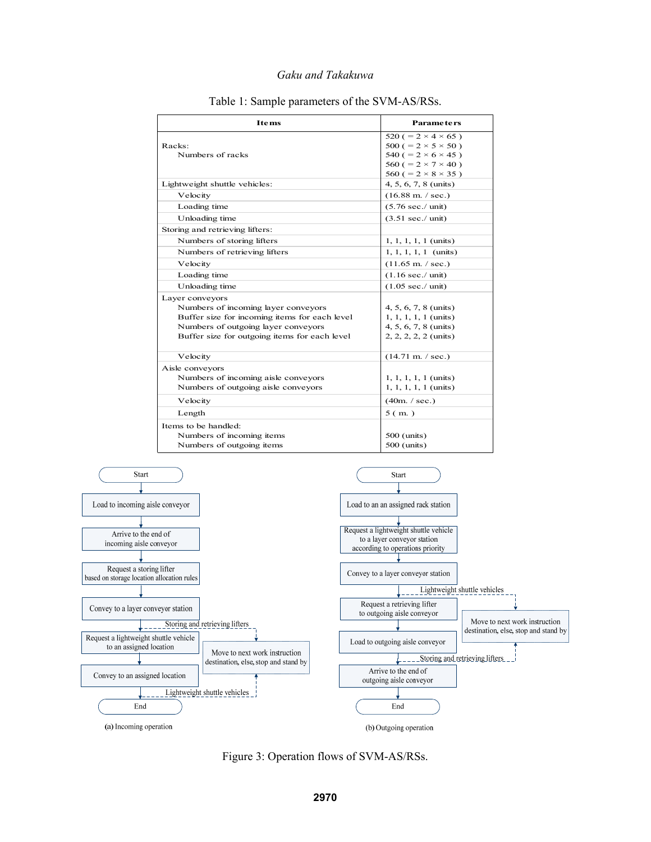| <b>Items</b>                                  | <b>Parameters</b>                  |
|-----------------------------------------------|------------------------------------|
|                                               | 520 ( $= 2 \times 4 \times 65$ )   |
| Racks:                                        | $500 (= 2 \times 5 \times 50)$     |
| Numbers of racks                              | 540 ( $= 2 \times 6 \times 45$ )   |
|                                               | 560 ( $= 2 \times 7 \times 40$ )   |
|                                               | $560 (= 2 \times 8 \times 35)$     |
| Lightweight shuttle vehicles:                 | $4, 5, 6, 7, 8 \text{ (units)}$    |
| Velocity                                      | $(16.88 \text{ m.} / \text{sec.})$ |
| Loading time                                  | $(5.76 \text{ sec.}/ \text{unit})$ |
| Unloading time                                | $(3.51 \text{ sec.}/ \text{unit})$ |
| Storing and retrieving lifters:               |                                    |
| Numbers of storing lifters                    | $1, 1, 1, 1, 1 \text{ (units)}$    |
| Numbers of retrieving lifters                 | $1, 1, 1, 1, 1$ (units)            |
| Velocity                                      | $(11.65 \text{ m.} / \text{sec.})$ |
| Loading time                                  | $(1.16 \text{ sec.}/ \text{unit})$ |
| Unloading time                                | $(1.05 \text{ sec.}/ \text{unit})$ |
| Layer conveyors                               |                                    |
| Numbers of incoming layer conveyors           | 4, 5, 6, 7, 8 (units)              |
| Buffer size for incoming items for each level | $1, 1, 1, 1, 1$ (units)            |
| Numbers of outgoing layer conveyors           | 4, 5, 6, 7, 8 (units)              |
| Buffer size for outgoing items for each level | 2, 2, 2, 2, 2 (units)              |
| Velocity                                      | $(14.71 \text{ m.} / \text{sec.})$ |
| Aisle conveyors                               |                                    |
| Numbers of incoming aisle conveyors           | $1, 1, 1, 1, 1 \text{ (units)}$    |
| Numbers of outgoing aisle conveyors           | $1, 1, 1, 1, 1$ (units)            |
| Velocity                                      | (40m. / sec.)                      |
| Length                                        | 5(m.)                              |
| Items to be handled:                          |                                    |
| Numbers of incoming items                     | 500 (units)                        |
| Numbers of outgoing items                     | 500 (units)                        |

### Table 1: Sample parameters of the SVM-AS/RSs.



(a) Incoming operation

Figure 3: Operation flows of SVM-AS/RSs.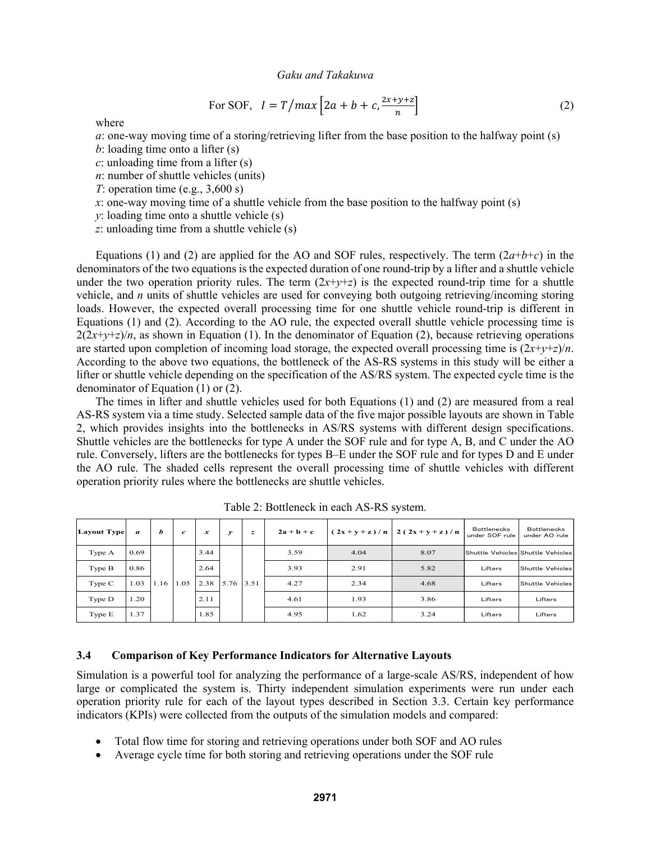For SOF, 
$$
I = T/max \left[ 2a + b + c, \frac{2x + y + z}{n} \right]
$$
 (2)

where

*a*: one-way moving time of a storing/retrieving lifter from the base position to the halfway point (s)

*b*: loading time onto a lifter (s)

*c*: unloading time from a lifter (s)

*n*: number of shuttle vehicles (units)

*T*: operation time (e.g., 3,600 s)

*x*: one-way moving time of a shuttle vehicle from the base position to the halfway point (s)

*y*: loading time onto a shuttle vehicle (s)

*z*: unloading time from a shuttle vehicle (s)

Equations (1) and (2) are applied for the AO and SOF rules, respectively. The term  $(2a+b+c)$  in the denominators of the two equations is the expected duration of one round-trip by a lifter and a shuttle vehicle under the two operation priority rules. The term  $(2x+y+z)$  is the expected round-trip time for a shuttle vehicle, and *n* units of shuttle vehicles are used for conveying both outgoing retrieving/incoming storing loads. However, the expected overall processing time for one shuttle vehicle round-trip is different in Equations (1) and (2). According to the AO rule, the expected overall shuttle vehicle processing time is  $2(2x+y+z)/n$ , as shown in Equation (1). In the denominator of Equation (2), because retrieving operations are started upon completion of incoming load storage, the expected overall processing time is  $(2x+y+z)/n$ . According to the above two equations, the bottleneck of the AS-RS systems in this study will be either a lifter or shuttle vehicle depending on the specification of the AS/RS system. The expected cycle time is the denominator of Equation (1) or (2).

The times in lifter and shuttle vehicles used for both Equations (1) and (2) are measured from a real AS-RS system via a time study. Selected sample data of the five major possible layouts are shown in Table 2, which provides insights into the bottlenecks in AS/RS systems with different design specifications. Shuttle vehicles are the bottlenecks for type A under the SOF rule and for type A, B, and C under the AO rule. Conversely, lifters are the bottlenecks for types B–E under the SOF rule and for types D and E under the AO rule. The shaded cells represent the overall processing time of shuttle vehicles with different operation priority rules where the bottlenecks are shuttle vehicles.

| <b>Layout Type</b> | $\boldsymbol{a}$ | Ь    | $\boldsymbol{c}$ | $\boldsymbol{x}$ | $\mathcal{Y}$ | z    | $2a + b + c$ | $(2x+y+z)/n$ | $2(2x+y+z)/n$                     | <b>Bottlenecks</b><br>under SOF rule | <b>Bottlenecks</b><br>under AO rule |
|--------------------|------------------|------|------------------|------------------|---------------|------|--------------|--------------|-----------------------------------|--------------------------------------|-------------------------------------|
| Type A             | 0.69             |      |                  | 3.44             |               | 3.59 | 4.04         | 8.07         | Shuttle Vehicles Shuttle Vehicles |                                      |                                     |
| Type B             | 0.86             |      |                  | 2.64             |               |      | 3.93         | 2.91         | 5.82                              | Lifters                              | Shuttle Vehicles                    |
| Type C             | 1.03             | 1.16 | 1.05             | 2.38             | 5.76 3.51     |      | 4.27         | 2.34         | 4.68                              | Lifters                              | <b>Shuttle Vehicles</b>             |
| Type D             | 1.20             |      |                  | 2.11             |               |      | 4.61         | 1.93         | 3.86                              | Lifters                              | Lifters                             |
| Type E             | 1.37             |      |                  | 1.85             |               |      | 4.95         | 1.62         | 3.24                              | Lifters                              | Lifters                             |

Table 2: Bottleneck in each AS-RS system.

## **3.4 Comparison of Key Performance Indicators for Alternative Layouts**

Simulation is a powerful tool for analyzing the performance of a large-scale AS/RS, independent of how large or complicated the system is. Thirty independent simulation experiments were run under each operation priority rule for each of the layout types described in Section 3.3. Certain key performance indicators (KPIs) were collected from the outputs of the simulation models and compared:

- Total flow time for storing and retrieving operations under both SOF and AO rules
- Average cycle time for both storing and retrieving operations under the SOF rule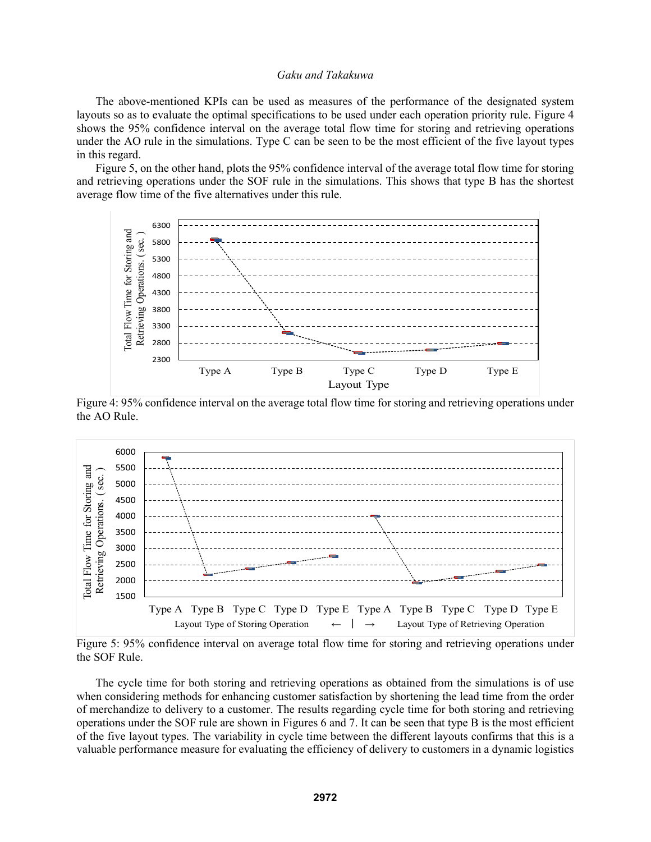The above-mentioned KPIs can be used as measures of the performance of the designated system layouts so as to evaluate the optimal specifications to be used under each operation priority rule. Figure 4 shows the 95% confidence interval on the average total flow time for storing and retrieving operations under the AO rule in the simulations. Type C can be seen to be the most efficient of the five layout types in this regard.

Figure 5, on the other hand, plots the 95% confidence interval of the average total flow time for storing and retrieving operations under the SOF rule in the simulations. This shows that type B has the shortest average flow time of the five alternatives under this rule.



Figure 4: 95% confidence interval on the average total flow time for storing and retrieving operations under the AO Rule.



Figure 5: 95% confidence interval on average total flow time for storing and retrieving operations under the SOF Rule.

The cycle time for both storing and retrieving operations as obtained from the simulations is of use when considering methods for enhancing customer satisfaction by shortening the lead time from the order of merchandize to delivery to a customer. The results regarding cycle time for both storing and retrieving operations under the SOF rule are shown in Figures 6 and 7. It can be seen that type B is the most efficient of the five layout types. The variability in cycle time between the different layouts confirms that this is a valuable performance measure for evaluating the efficiency of delivery to customers in a dynamic logistics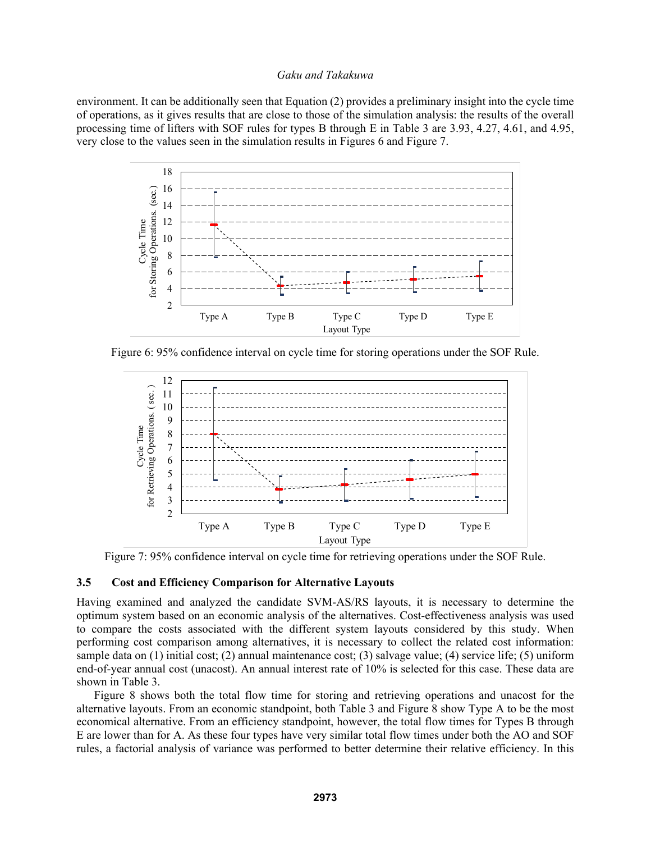environment. It can be additionally seen that Equation (2) provides a preliminary insight into the cycle time of operations, as it gives results that are close to those of the simulation analysis: the results of the overall processing time of lifters with SOF rules for types B through E in Table 3 are 3.93, 4.27, 4.61, and 4.95, very close to the values seen in the simulation results in Figures 6 and Figure 7.



Figure 6: 95% confidence interval on cycle time for storing operations under the SOF Rule.



Figure 7: 95% confidence interval on cycle time for retrieving operations under the SOF Rule.

#### **3.5 Cost and Efficiency Comparison for Alternative Layouts**

Having examined and analyzed the candidate SVM-AS/RS layouts, it is necessary to determine the optimum system based on an economic analysis of the alternatives. Cost-effectiveness analysis was used to compare the costs associated with the different system layouts considered by this study. When performing cost comparison among alternatives, it is necessary to collect the related cost information: sample data on (1) initial cost; (2) annual maintenance cost; (3) salvage value; (4) service life; (5) uniform end-of-year annual cost (unacost). An annual interest rate of 10% is selected for this case. These data are shown in Table 3.

Figure 8 shows both the total flow time for storing and retrieving operations and unacost for the alternative layouts. From an economic standpoint, both Table 3 and Figure 8 show Type A to be the most economical alternative. From an efficiency standpoint, however, the total flow times for Types B through E are lower than for A. As these four types have very similar total flow times under both the AO and SOF rules, a factorial analysis of variance was performed to better determine their relative efficiency. In this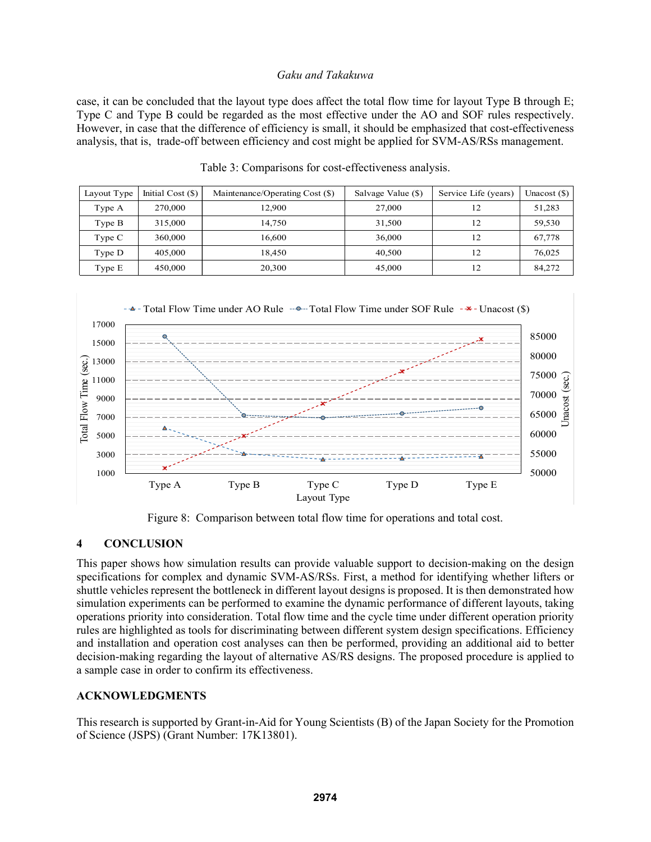case, it can be concluded that the layout type does affect the total flow time for layout Type B through E; Type C and Type B could be regarded as the most effective under the AO and SOF rules respectively. However, in case that the difference of efficiency is small, it should be emphasized that cost-effectiveness analysis, that is, trade-off between efficiency and cost might be applied for SVM-AS/RSs management.

| Layout Type | Initial Cost $(\$)$ | Maintenance/Operating Cost (\$) | Salvage Value (\$) | Service Life (years) | Unacost $(\$)$ |
|-------------|---------------------|---------------------------------|--------------------|----------------------|----------------|
| Type A      | 270,000             | 12,900                          | 27,000             | 12                   | 51,283         |
| Type B      | 315,000             | 14.750                          | 31,500             | 12                   | 59,530         |
| Type C      | 360,000             | 16.600                          | 36,000             | 12                   | 67,778         |
| Type D      | 405,000             | 18.450                          | 40,500             | 12                   | 76,025         |
| Type E      | 450,000             | 20,300                          | 45,000             | 12                   | 84,272         |

|  | Table 3: Comparisons for cost-effectiveness analysis. |  |
|--|-------------------------------------------------------|--|
|  |                                                       |  |



Figure 8: Comparison between total flow time for operations and total cost.

# **4 CONCLUSION**

This paper shows how simulation results can provide valuable support to decision-making on the design specifications for complex and dynamic SVM-AS/RSs. First, a method for identifying whether lifters or shuttle vehicles represent the bottleneck in different layout designs is proposed. It is then demonstrated how simulation experiments can be performed to examine the dynamic performance of different layouts, taking operations priority into consideration. Total flow time and the cycle time under different operation priority rules are highlighted as tools for discriminating between different system design specifications. Efficiency and installation and operation cost analyses can then be performed, providing an additional aid to better decision-making regarding the layout of alternative AS/RS designs. The proposed procedure is applied to a sample case in order to confirm its effectiveness.

### **ACKNOWLEDGMENTS**

This research is supported by Grant-in-Aid for Young Scientists (B) of the Japan Society for the Promotion of Science (JSPS) (Grant Number: 17K13801).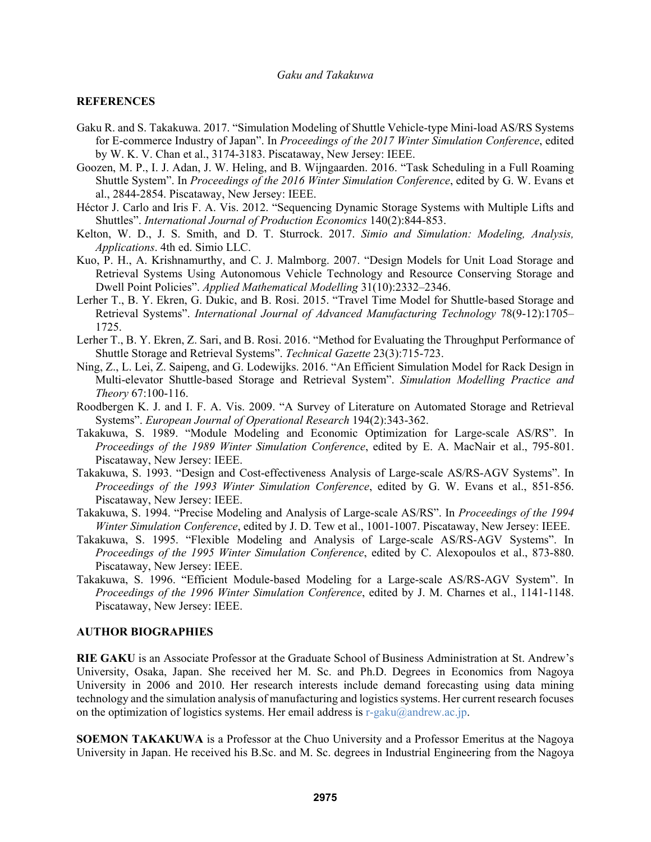#### **REFERENCES**

- Gaku R. and S. Takakuwa. 2017. "Simulation Modeling of Shuttle Vehicle-type Mini-load AS/RS Systems for E-commerce Industry of Japan". In *Proceedings of the 2017 Winter Simulation Conference*, edited by W. K. V. Chan et al., 3174-3183. Piscataway, New Jersey: IEEE.
- Goozen, M. P., I. J. Adan, J. W. Heling, and B. Wijngaarden. 2016. "Task Scheduling in a Full Roaming Shuttle System". In *Proceedings of the 2016 Winter Simulation Conference*, edited by G. W. Evans et al., 2844-2854. Piscataway, New Jersey: IEEE.
- Héctor J. Carlo and Iris F. A. Vis. 2012. "Sequencing Dynamic Storage Systems with Multiple Lifts and Shuttles". *International Journal of Production Economics* 140(2):844-853.
- Kelton, W. D., J. S. Smith, and D. T. Sturrock. 2017. *Simio and Simulation: Modeling, Analysis, Applications*. 4th ed. Simio LLC.
- Kuo, P. H., A. Krishnamurthy, and C. J. Malmborg. 2007. "Design Models for Unit Load Storage and Retrieval Systems Using Autonomous Vehicle Technology and Resource Conserving Storage and Dwell Point Policies". *Applied Mathematical Modelling* 31(10):2332–2346.
- Lerher T., B. Y. Ekren, G. Dukic, and B. Rosi. 2015. "Travel Time Model for Shuttle-based Storage and Retrieval Systems". *International Journal of Advanced Manufacturing Technology* 78(9-12):1705– 1725.
- Lerher T., B. Y. Ekren, Z. Sari, and B. Rosi. 2016. "Method for Evaluating the Throughput Performance of Shuttle Storage and Retrieval Systems". *Technical Gazette* 23(3):715-723.
- Ning, Z., L. Lei, Z. Saipeng, and G. Lodewijks. 2016. "An Efficient Simulation Model for Rack Design in Multi-elevator Shuttle-based Storage and Retrieval System". *Simulation Modelling Practice and Theory* 67:100-116.
- Roodbergen K. J. and I. F. A. Vis. 2009. "A Survey of Literature on Automated Storage and Retrieval Systems". *European Journal of Operational Research* 194(2):343-362.
- Takakuwa, S. 1989. "Module Modeling and Economic Optimization for Large-scale AS/RS". In *Proceedings of the 1989 Winter Simulation Conference*, edited by E. A. MacNair et al., 795-801. Piscataway, New Jersey: IEEE.
- Takakuwa, S. 1993. "Design and Cost-effectiveness Analysis of Large-scale AS/RS-AGV Systems". In *Proceedings of the 1993 Winter Simulation Conference*, edited by G. W. Evans et al., 851-856. Piscataway, New Jersey: IEEE.
- Takakuwa, S. 1994. "Precise Modeling and Analysis of Large-scale AS/RS". In *Proceedings of the 1994 Winter Simulation Conference*, edited by J. D. Tew et al., 1001-1007. Piscataway, New Jersey: IEEE.
- Takakuwa, S. 1995. "Flexible Modeling and Analysis of Large-scale AS/RS-AGV Systems". In *Proceedings of the 1995 Winter Simulation Conference*, edited by C. Alexopoulos et al., 873-880. Piscataway, New Jersey: IEEE.
- Takakuwa, S. 1996. "Efficient Module-based Modeling for a Large-scale AS/RS-AGV System". In *Proceedings of the 1996 Winter Simulation Conference*, edited by J. M. Charnes et al., 1141-1148. Piscataway, New Jersey: IEEE.

#### **AUTHOR BIOGRAPHIES**

**RIE GAKU** is an Associate Professor at the Graduate School of Business Administration at St. Andrew's University, Osaka, Japan. She received her M. Sc. and Ph.D. Degrees in Economics from Nagoya University in 2006 and 2010. Her research interests include demand forecasting using data mining technology and the simulation analysis of manufacturing and logistics systems. Her current research focuses on the optimization of logistics systems. Her email address is  $r-gaku@andrew.ac.jp$ .

**SOEMON TAKAKUWA** is a Professor at the Chuo University and a Professor Emeritus at the Nagoya University in Japan. He received his B.Sc. and M. Sc. degrees in Industrial Engineering from the Nagoya